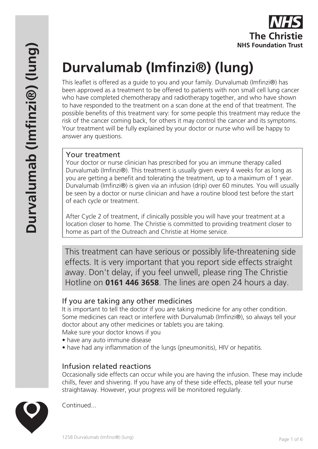

# **Durvalumab (Imfinzi®) (lung)**

This leaflet is offered as a guide to you and your family. Durvalumab (Imfinzi®) has been approved as a treatment to be offered to patients with non small cell lung cancer who have completed chemotherapy and radiotherapy together, and who have shown to have responded to the treatment on a scan done at the end of that treatment. The possible benefits of this treatment vary: for some people this treatment may reduce the risk of the cancer coming back, for others it may control the cancer and its symptoms. Your treatment will be fully explained by your doctor or nurse who will be happy to answer any questions.

# Your treatment

Your doctor or nurse clinician has prescribed for you an immune therapy called Durvalumab (Imfinzi®). This treatment is usually given every 4 weeks for as long as you are getting a benefit and tolerating the treatment, up to a maximum of 1 year. Durvalumab (Imfinzi®) is given via an infusion (drip) over 60 minutes. You will usually be seen by a doctor or nurse clinician and have a routine blood test before the start of each cycle or treatment.

After Cycle 2 of treatment, if clinically possible you will have your treatment at a location closer to home. The Christie is committed to providing treatment closer to home as part of the Outreach and Christie at Home service.

This treatment can have serious or possibly life-threatening side effects. It is very important that you report side effects straight away. Don't delay, if you feel unwell, please ring The Christie Hotline on **0161 446 3658**. The lines are open 24 hours a day.

# If you are taking any other medicines

It is important to tell the doctor if you are taking medicine for any other condition. Some medicines can react or interfere with Durvalumab (Imfinzi®), so always tell your doctor about any other medicines or tablets you are taking.

Make sure your doctor knows if you

- have any auto immune disease
- have had any inflammation of the lungs (pneumonitis), HIV or hepatitis.

# Infusion related reactions

Occasionally side effects can occur while you are having the infusion. These may include chills, fever and shivering. If you have any of these side effects, please tell your nurse straightaway. However, your progress will be monitored regularly.



Continued...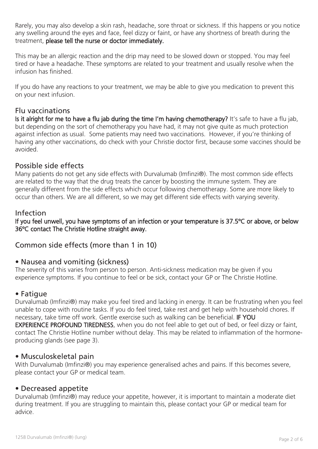Rarely, you may also develop a skin rash, headache, sore throat or sickness. If this happens or you notice any swelling around the eyes and face, feel dizzy or faint, or have any shortness of breath during the treatment, please tell the nurse or doctor immediately.

This may be an allergic reaction and the drip may need to be slowed down or stopped. You may feel tired or have a headache. These symptoms are related to your treatment and usually resolve when the infusion has finished.

If you do have any reactions to your treatment, we may be able to give you medication to prevent this on your next infusion.

# Flu vaccinations

Is it alright for me to have a flu jab during the time I'm having chemotherapy? It's safe to have a flu jab, but depending on the sort of chemotherapy you have had, it may not give quite as much protection against infection as usual. Some patients may need two vaccinations. However, if you're thinking of having any other vaccinations, do check with your Christie doctor first, because some vaccines should be avoided.

# Possible side effects

Many patients do not get any side effects with Durvalumab (Imfinzi®). The most common side effects are related to the way that the drug treats the cancer by boosting the immune system. They are generally different from the side effects which occur following chemotherapy. Some are more likely to occur than others. We are all different, so we may get different side effects with varying severity.

#### Infection

If you feel unwell, you have symptoms of an infection or your temperature is 37.5ºC or above, or below 36ºC contact The Christie Hotline straight away.

# Common side effects (more than 1 in 10)

# • Nausea and vomiting (sickness)

The severity of this varies from person to person. Anti-sickness medication may be given if you experience symptoms. If you continue to feel or be sick, contact your GP or The Christie Hotline.

# • Fatigue

Durvalumab (Imfinzi®) may make you feel tired and lacking in energy. It can be frustrating when you feel unable to cope with routine tasks. If you do feel tired, take rest and get help with household chores. If necessary, take time off work. Gentle exercise such as walking can be beneficial. IF YOU EXPERIENCE PROFOUND TIREDNESS, when you do not feel able to get out of bed, or feel dizzy or faint, contact The Christie Hotline number without delay. This may be related to inflammation of the hormoneproducing glands (see page 3).

#### • Musculoskeletal pain

With Durvalumab (Imfinzi®) you may experience generalised aches and pains. If this becomes severe, please contact your GP or medical team.

# • Decreased appetite

Durvalumab (Imfinzi®) may reduce your appetite, however, it is important to maintain a moderate diet during treatment. If you are struggling to maintain this, please contact your GP or medical team for advice.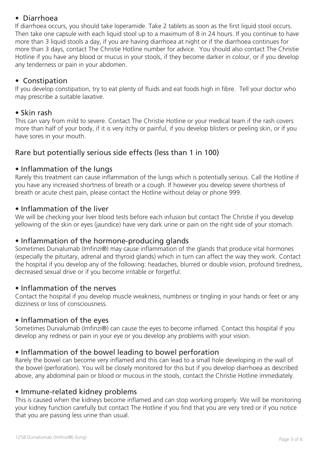# • Diarrhoea

If diarrhoea occurs, you should take loperamide. Take 2 tablets as soon as the first liquid stool occurs. Then take one capsule with each liquid stool up to a maximum of 8 in 24 hours. If you continue to have more than 3 liquid stools a day, if you are having diarrhoea at night or if the diarrhoea continues for more than 3 days, contact The Christie Hotline number for advice. You should also contact The Christie Hotline if you have any blood or mucus in your stools, if they become darker in colour, or if you develop any tenderness or pain in your abdomen.

# • Constipation

If you develop constipation, try to eat plenty of fluids and eat foods high in fibre. Tell your doctor who may prescribe a suitable laxative.

#### • Skin rash

This can vary from mild to severe. Contact The Christie Hotline or your medical team if the rash covers more than half of your body, if it is very itchy or painful, if you develop blisters or peeling skin, or if you have sores in your mouth.

# Rare but potentially serious side effects (less than 1 in 100)

#### • Inflammation of the lungs

Rarely this treatment can cause inflammation of the lungs which is potentially serious. Call the Hotline if you have any increased shortness of breath or a cough. If however you develop severe shortness of breath or acute chest pain, please contact the Hotline without delay or phone 999.

#### • Inflammation of the liver

We will be checking your liver blood tests before each infusion but contact The Christie if you develop yellowing of the skin or eyes (jaundice) have very dark urine or pain on the right side of your stomach.

# • Inflammation of the hormone-producing glands

Sometimes Durvalumab (Imfinzi®) may cause inflammation of the glands that produce vital hormones (especially the pituitary, adrenal and thyroid glands) which in turn can affect the way they work. Contact the hospital if you develop any of the following: headaches, blurred or double vision, profound tiredness, decreased sexual drive or if you become irritable or forgetful.

# • Inflammation of the nerves

Contact the hospital if you develop muscle weakness, numbness or tingling in your hands or feet or any dizziness or loss of consciousness.

# • Inflammation of the eyes

Sometimes Durvalumab (Imfinzi®) can cause the eyes to become inflamed. Contact this hospital if you develop any redness or pain in your eye or you develop any problems with your vision.

# • Inflammation of the bowel leading to bowel perforation

Rarely the bowel can become very inflamed and this can lead to a small hole developing in the wall of the bowel (perforation). You will be closely monitored for this but if you develop diarrhoea as described above, any abdominal pain or blood or mucous in the stools, contact the Christie Hotline immediately.

#### • Immune-related kidney problems

This is caused when the kidneys become inflamed and can stop working properly. We will be monitoring your kidney function carefully but contact The Hotline if you find that you are very tired or if you notice that you are passing less urine than usual.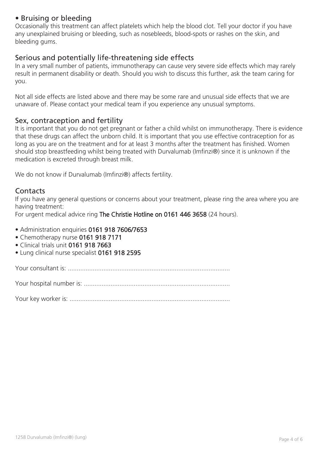# • Bruising or bleeding

Occasionally this treatment can affect platelets which help the blood clot. Tell your doctor if you have any unexplained bruising or bleeding, such as nosebleeds, blood-spots or rashes on the skin, and bleeding gums.

# Serious and potentially life-threatening side effects

In a very small number of patients, immunotherapy can cause very severe side effects which may rarely result in permanent disability or death. Should you wish to discuss this further, ask the team caring for you.

Not all side effects are listed above and there may be some rare and unusual side effects that we are unaware of. Please contact your medical team if you experience any unusual symptoms.

#### Sex, contraception and fertility

It is important that you do not get pregnant or father a child whilst on immunotherapy. There is evidence that these drugs can affect the unborn child. It is important that you use effective contraception for as long as you are on the treatment and for at least 3 months after the treatment has finished. Women should stop breastfeeding whilst being treated with Durvalumab (Imfinzi®) since it is unknown if the medication is excreted through breast milk.

We do not know if Durvalumab (Imfinzi®) affects fertility.

#### **Contacts**

If you have any general questions or concerns about your treatment, please ring the area where you are having treatment:

For urgent medical advice ring The Christie Hotline on 0161 446 3658 (24 hours).

- Administration enquiries 0161 918 7606/7653
- Chemotherapy nurse 0161 918 7171
- Clinical trials unit 0161 918 7663
- Lung clinical nurse specialist 0161 918 2595

Your consultant is: ...........................................................................................

Your hospital number is: ..................................................................................

Your key worker is: ..........................................................................................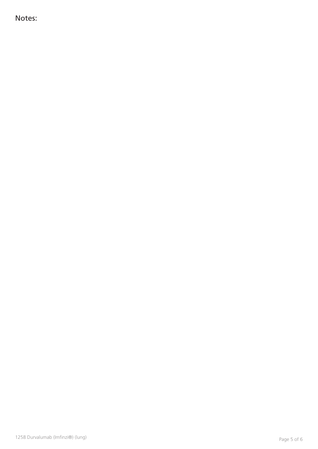Notes: